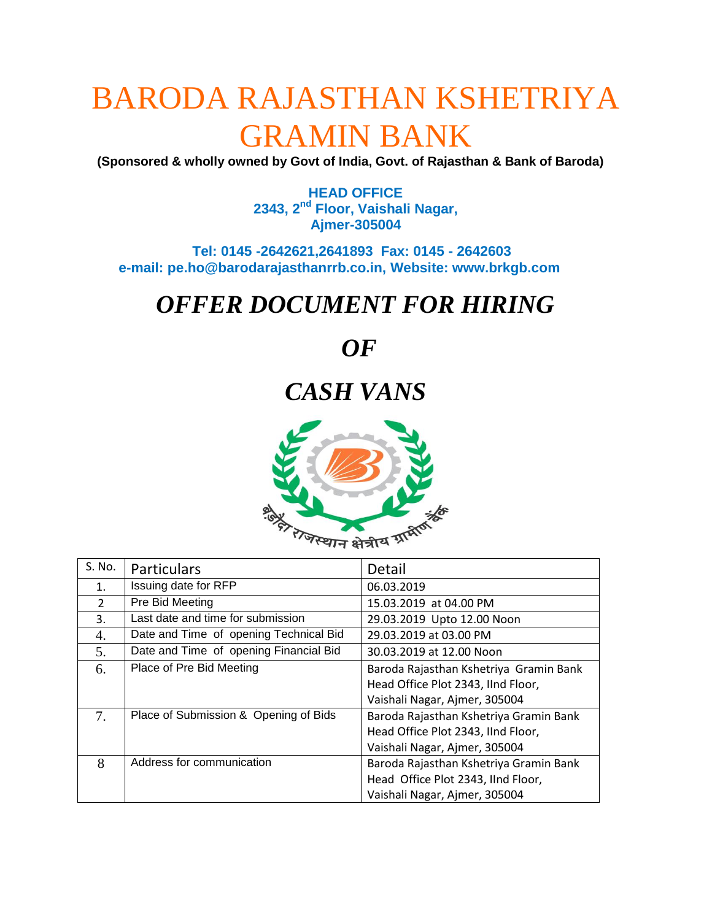# BARODA RAJASTHAN KSHETRIYA GRAMIN BANK

**(Sponsored & wholly owned by Govt of India, Govt. of Rajasthan & Bank of Baroda)**

**HEAD OFFICE 2343, 2nd Floor, Vaishali Nagar, Ajmer-305004**

 **Tel: 0145 -2642621,2641893 Fax: 0145 - 2642603 e-mail: pe.ho@barodarajasthanrrb.co.in, Website: www.brkgb.com**

## *OFFER DOCUMENT FOR HIRING*

## *OF*

## *CASH VANS*



| S. No.         | Particulars                            | Detail                                 |  |
|----------------|----------------------------------------|----------------------------------------|--|
| $\mathbf 1$ .  | Issuing date for RFP                   | 06.03.2019                             |  |
| $\overline{2}$ | Pre Bid Meeting                        | 15.03.2019 at 04.00 PM                 |  |
| 3.             | Last date and time for submission      | 29.03.2019 Upto 12.00 Noon             |  |
| 4.             | Date and Time of opening Technical Bid | 29.03.2019 at 03.00 PM                 |  |
| 5.             | Date and Time of opening Financial Bid | 30.03.2019 at 12.00 Noon               |  |
| 6.             | Place of Pre Bid Meeting               | Baroda Rajasthan Kshetriya Gramin Bank |  |
|                |                                        | Head Office Plot 2343, IInd Floor,     |  |
|                |                                        | Vaishali Nagar, Ajmer, 305004          |  |
| 7.             | Place of Submission & Opening of Bids  | Baroda Rajasthan Kshetriya Gramin Bank |  |
|                |                                        | Head Office Plot 2343, IInd Floor,     |  |
|                |                                        | Vaishali Nagar, Ajmer, 305004          |  |
| 8              | Address for communication              | Baroda Rajasthan Kshetriya Gramin Bank |  |
|                |                                        | Head Office Plot 2343, IInd Floor,     |  |
|                |                                        | Vaishali Nagar, Ajmer, 305004          |  |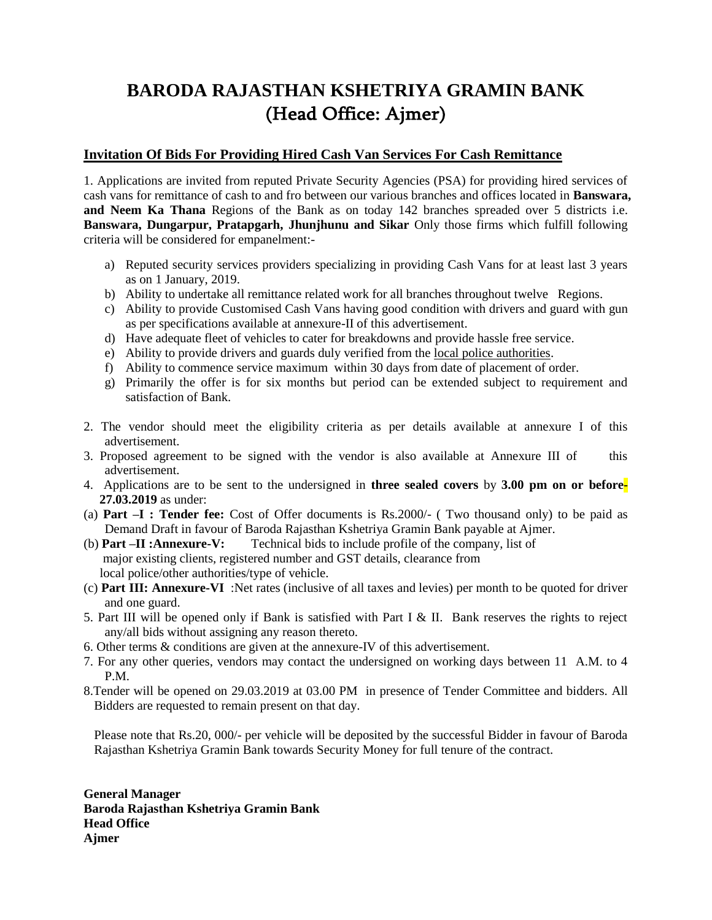## **BARODA RAJASTHAN KSHETRIYA GRAMIN BANK** (Head Office: Ajmer)

#### **Invitation Of Bids For Providing Hired Cash Van Services For Cash Remittance**

1. Applications are invited from reputed Private Security Agencies (PSA) for providing hired services of cash vans for remittance of cash to and fro between our various branches and offices located in **Banswara, and Neem Ka Thana** Regions of the Bank as on today 142 branches spreaded over 5 districts i.e. **Banswara, Dungarpur, Pratapgarh, Jhunjhunu and Sikar** Only those firms which fulfill following criteria will be considered for empanelment:-

- a) Reputed security services providers specializing in providing Cash Vans for at least last 3 years as on 1 January, 2019.
- b) Ability to undertake all remittance related work for all branches throughout twelve Regions.
- c) Ability to provide Customised Cash Vans having good condition with drivers and guard with gun as per specifications available at annexure-II of this advertisement.
- d) Have adequate fleet of vehicles to cater for breakdowns and provide hassle free service.
- e) Ability to provide drivers and guards duly verified from the local police authorities.
- f) Ability to commence service maximum within 30 days from date of placement of order.
- g) Primarily the offer is for six months but period can be extended subject to requirement and satisfaction of Bank.
- 2. The vendor should meet the eligibility criteria as per details available at annexure I of this advertisement.
- 3. Proposed agreement to be signed with the vendor is also available at Annexure III of this advertisement.
- 4. Applications are to be sent to the undersigned in **three sealed covers** by **3.00 pm on or before-27.03.2019** as under:
- (a) **Part –I : Tender fee:** Cost of Offer documents is Rs.2000/- ( Two thousand only) to be paid as Demand Draft in favour of Baroda Rajasthan Kshetriya Gramin Bank payable at Ajmer.<br>(b) **Part -II :Annexure-V:** Technical bids to include profile of the company, list of
- Technical bids to include profile of the company, list of major existing clients, registered number and GST details, clearance from local police/other authorities/type of vehicle.
- (c) **Part III: Annexure-VI** :Net rates (inclusive of all taxes and levies) per month to be quoted for driver and one guard.
- 5. Part III will be opened only if Bank is satisfied with Part I & II. Bank reserves the rights to reject any/all bids without assigning any reason thereto.
- 6. Other terms & conditions are given at the annexure-IV of this advertisement.
- 7. For any other queries, vendors may contact the undersigned on working days between 11 A.M. to 4 P.M.
- 8.Tender will be opened on 29.03.2019 at 03.00 PM in presence of Tender Committee and bidders. All Bidders are requested to remain present on that day.

Please note that Rs.20, 000/- per vehicle will be deposited by the successful Bidder in favour of Baroda Rajasthan Kshetriya Gramin Bank towards Security Money for full tenure of the contract.

**General Manager Baroda Rajasthan Kshetriya Gramin Bank Head Office Ajmer**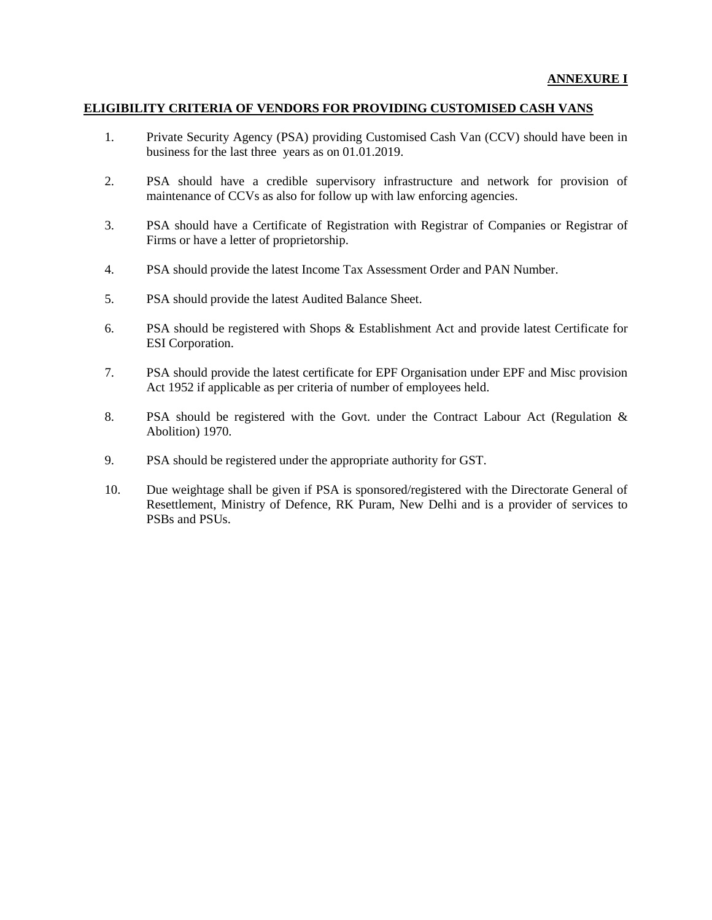#### **ELIGIBILITY CRITERIA OF VENDORS FOR PROVIDING CUSTOMISED CASH VANS**

- 1. Private Security Agency (PSA) providing Customised Cash Van (CCV) should have been in business for the last three years as on 01.01.2019.
- 2. PSA should have a credible supervisory infrastructure and network for provision of maintenance of CCVs as also for follow up with law enforcing agencies.
- 3. PSA should have a Certificate of Registration with Registrar of Companies or Registrar of Firms or have a letter of proprietorship.
- 4. PSA should provide the latest Income Tax Assessment Order and PAN Number.
- 5. PSA should provide the latest Audited Balance Sheet.
- 6. PSA should be registered with Shops & Establishment Act and provide latest Certificate for ESI Corporation.
- 7. PSA should provide the latest certificate for EPF Organisation under EPF and Misc provision Act 1952 if applicable as per criteria of number of employees held.
- 8. PSA should be registered with the Govt. under the Contract Labour Act (Regulation & Abolition) 1970.
- 9. PSA should be registered under the appropriate authority for GST.
- 10. Due weightage shall be given if PSA is sponsored/registered with the Directorate General of Resettlement, Ministry of Defence, RK Puram, New Delhi and is a provider of services to PSBs and PSUs.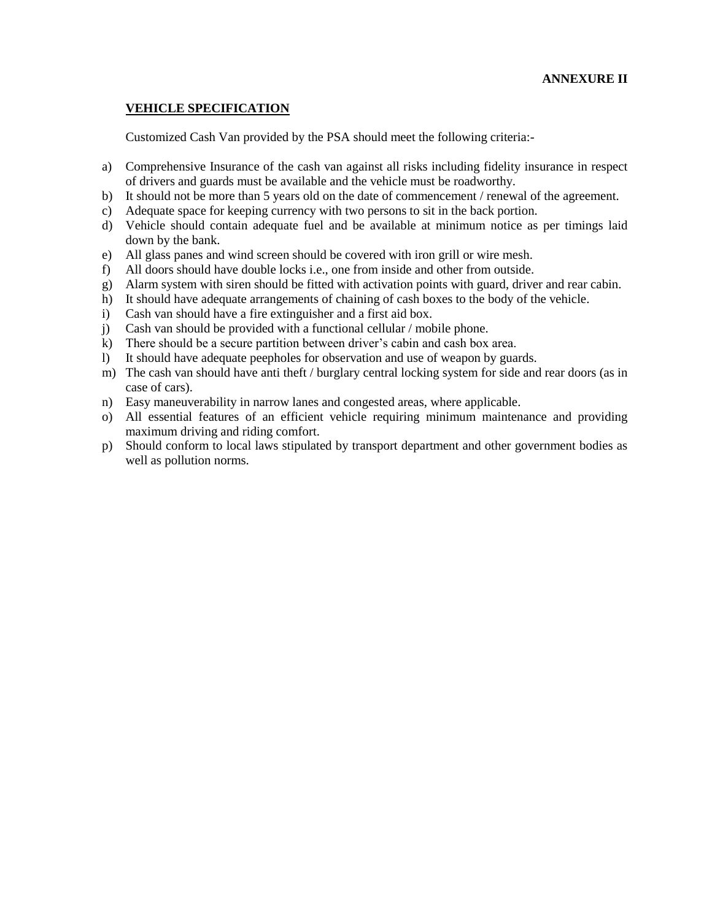#### **ANNEXURE II**

#### **VEHICLE SPECIFICATION**

Customized Cash Van provided by the PSA should meet the following criteria:-

- a) Comprehensive Insurance of the cash van against all risks including fidelity insurance in respect of drivers and guards must be available and the vehicle must be roadworthy.
- b) It should not be more than 5 years old on the date of commencement / renewal of the agreement.
- c) Adequate space for keeping currency with two persons to sit in the back portion.
- d) Vehicle should contain adequate fuel and be available at minimum notice as per timings laid down by the bank.
- e) All glass panes and wind screen should be covered with iron grill or wire mesh.
- f) All doors should have double locks i.e., one from inside and other from outside.
- g) Alarm system with siren should be fitted with activation points with guard, driver and rear cabin.
- h) It should have adequate arrangements of chaining of cash boxes to the body of the vehicle.
- i) Cash van should have a fire extinguisher and a first aid box.
- j) Cash van should be provided with a functional cellular / mobile phone.
- k) There should be a secure partition between driver's cabin and cash box area.
- l) It should have adequate peepholes for observation and use of weapon by guards.
- m) The cash van should have anti theft / burglary central locking system for side and rear doors (as in case of cars).
- n) Easy maneuverability in narrow lanes and congested areas, where applicable.
- o) All essential features of an efficient vehicle requiring minimum maintenance and providing maximum driving and riding comfort.
- p) Should conform to local laws stipulated by transport department and other government bodies as well as pollution norms.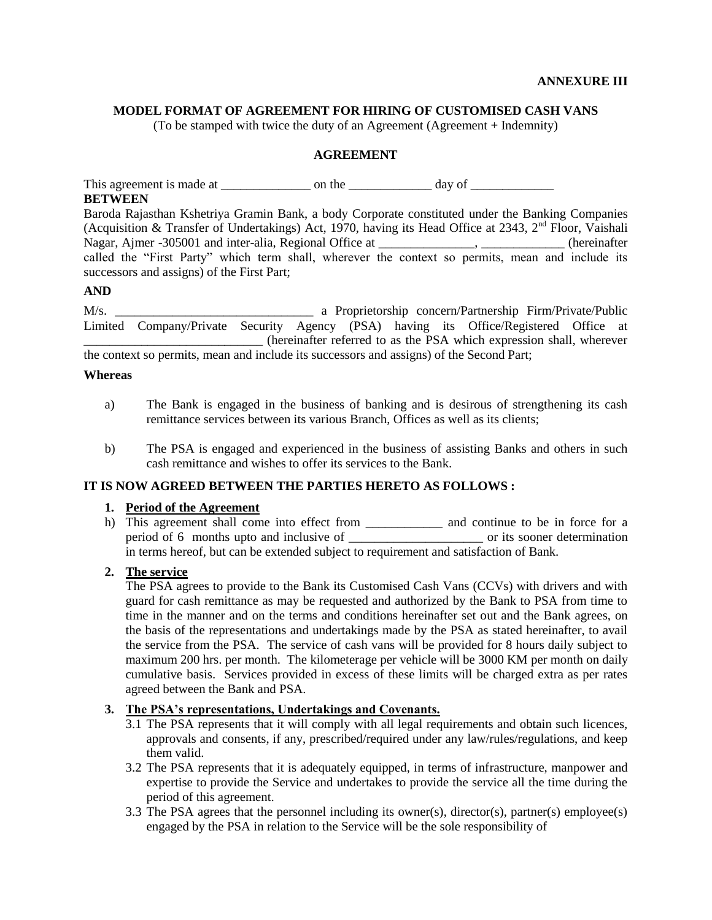#### **MODEL FORMAT OF AGREEMENT FOR HIRING OF CUSTOMISED CASH VANS**

(To be stamped with twice the duty of an Agreement (Agreement + Indemnity)

#### **AGREEMENT**

This agreement is made at \_\_\_\_\_\_\_\_\_\_\_\_\_\_ on the \_\_\_\_\_\_\_\_\_\_\_\_\_ day of \_\_\_\_\_\_\_\_\_\_\_\_\_

#### **BETWEEN**

Baroda Rajasthan Kshetriya Gramin Bank, a body Corporate constituted under the Banking Companies (Acquisition & Transfer of Undertakings) Act, 1970, having its Head Office at 2343,  $2<sup>nd</sup>$  Floor, Vaishali Nagar, Ajmer -305001 and inter-alia, Regional Office at \_\_\_\_\_\_\_\_\_\_\_\_, \_\_\_\_\_\_\_\_\_\_, (hereinafter called the "First Party" which term shall, wherever the context so permits, mean and include its successors and assigns) of the First Part;

#### **AND**

M/s. \_\_\_\_\_\_\_\_\_\_\_\_\_\_\_\_\_\_\_\_\_\_\_\_\_\_\_\_\_\_\_ a Proprietorship concern/Partnership Firm/Private/Public Limited Company/Private Security Agency (PSA) having its Office/Registered Office at \_\_\_\_\_\_\_\_\_\_\_\_\_\_\_\_\_\_\_\_\_\_\_\_\_\_\_\_ (hereinafter referred to as the PSA which expression shall, wherever the context so permits, mean and include its successors and assigns) of the Second Part;

#### **Whereas**

- a) The Bank is engaged in the business of banking and is desirous of strengthening its cash remittance services between its various Branch, Offices as well as its clients;
- b) The PSA is engaged and experienced in the business of assisting Banks and others in such cash remittance and wishes to offer its services to the Bank.

#### **IT IS NOW AGREED BETWEEN THE PARTIES HERETO AS FOLLOWS :**

#### **1. Period of the Agreement**

h) This agreement shall come into effect from \_\_\_\_\_\_\_\_\_\_\_\_\_ and continue to be in force for a period of 6 months upto and inclusive of \_\_\_\_\_\_\_\_\_\_\_\_\_\_\_\_\_\_\_\_\_ or its sooner determination in terms hereof, but can be extended subject to requirement and satisfaction of Bank.

#### **2. The service**

The PSA agrees to provide to the Bank its Customised Cash Vans (CCVs) with drivers and with guard for cash remittance as may be requested and authorized by the Bank to PSA from time to time in the manner and on the terms and conditions hereinafter set out and the Bank agrees, on the basis of the representations and undertakings made by the PSA as stated hereinafter, to avail the service from the PSA. The service of cash vans will be provided for 8 hours daily subject to maximum 200 hrs. per month. The kilometerage per vehicle will be 3000 KM per month on daily cumulative basis. Services provided in excess of these limits will be charged extra as per rates agreed between the Bank and PSA.

#### **3. The PSA's representations, Undertakings and Covenants.**

- 3.1 The PSA represents that it will comply with all legal requirements and obtain such licences, approvals and consents, if any, prescribed/required under any law/rules/regulations, and keep them valid.
- 3.2 The PSA represents that it is adequately equipped, in terms of infrastructure, manpower and expertise to provide the Service and undertakes to provide the service all the time during the period of this agreement.
- 3.3 The PSA agrees that the personnel including its owner(s), director(s), partner(s) employee(s) engaged by the PSA in relation to the Service will be the sole responsibility of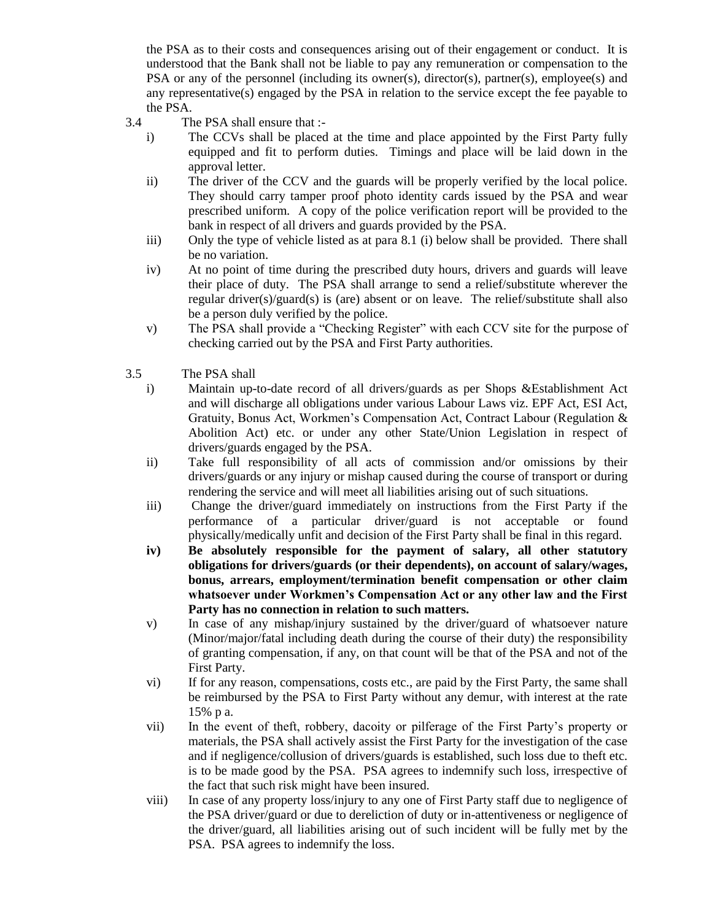the PSA as to their costs and consequences arising out of their engagement or conduct. It is understood that the Bank shall not be liable to pay any remuneration or compensation to the PSA or any of the personnel (including its owner(s), director(s), partner(s), employee(s) and any representative(s) engaged by the PSA in relation to the service except the fee payable to the PSA.

- 3.4 The PSA shall ensure that :
	- i) The CCVs shall be placed at the time and place appointed by the First Party fully equipped and fit to perform duties. Timings and place will be laid down in the approval letter.
	- ii) The driver of the CCV and the guards will be properly verified by the local police. They should carry tamper proof photo identity cards issued by the PSA and wear prescribed uniform. A copy of the police verification report will be provided to the bank in respect of all drivers and guards provided by the PSA.
	- iii) Only the type of vehicle listed as at para 8.1 (i) below shall be provided. There shall be no variation.
	- iv) At no point of time during the prescribed duty hours, drivers and guards will leave their place of duty. The PSA shall arrange to send a relief/substitute wherever the regular driver(s)/guard(s) is (are) absent or on leave. The relief/substitute shall also be a person duly verified by the police.
	- v) The PSA shall provide a "Checking Register" with each CCV site for the purpose of checking carried out by the PSA and First Party authorities.
- 3.5 The PSA shall
	- i) Maintain up-to-date record of all drivers/guards as per Shops &Establishment Act and will discharge all obligations under various Labour Laws viz. EPF Act, ESI Act, Gratuity, Bonus Act, Workmen's Compensation Act, Contract Labour (Regulation & Abolition Act) etc. or under any other State/Union Legislation in respect of drivers/guards engaged by the PSA.
	- ii) Take full responsibility of all acts of commission and/or omissions by their drivers/guards or any injury or mishap caused during the course of transport or during rendering the service and will meet all liabilities arising out of such situations.
	- iii) Change the driver/guard immediately on instructions from the First Party if the performance of a particular driver/guard is not acceptable or found physically/medically unfit and decision of the First Party shall be final in this regard.
	- **iv) Be absolutely responsible for the payment of salary, all other statutory obligations for drivers/guards (or their dependents), on account of salary/wages, bonus, arrears, employment/termination benefit compensation or other claim whatsoever under Workmen's Compensation Act or any other law and the First Party has no connection in relation to such matters.**
	- v) In case of any mishap/injury sustained by the driver/guard of whatsoever nature (Minor/major/fatal including death during the course of their duty) the responsibility of granting compensation, if any, on that count will be that of the PSA and not of the First Party.
	- vi) If for any reason, compensations, costs etc., are paid by the First Party, the same shall be reimbursed by the PSA to First Party without any demur, with interest at the rate 15% p a.
	- vii) In the event of theft, robbery, dacoity or pilferage of the First Party's property or materials, the PSA shall actively assist the First Party for the investigation of the case and if negligence/collusion of drivers/guards is established, such loss due to theft etc. is to be made good by the PSA. PSA agrees to indemnify such loss, irrespective of the fact that such risk might have been insured.
	- viii) In case of any property loss/injury to any one of First Party staff due to negligence of the PSA driver/guard or due to dereliction of duty or in-attentiveness or negligence of the driver/guard, all liabilities arising out of such incident will be fully met by the PSA. PSA agrees to indemnify the loss.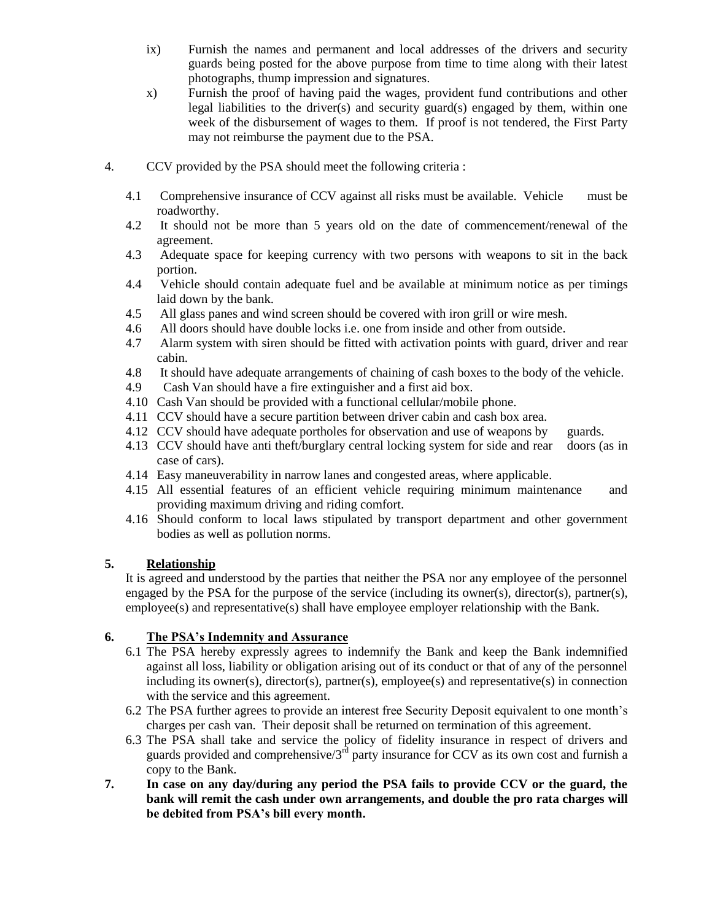- ix) Furnish the names and permanent and local addresses of the drivers and security guards being posted for the above purpose from time to time along with their latest photographs, thump impression and signatures.
- x) Furnish the proof of having paid the wages, provident fund contributions and other legal liabilities to the driver(s) and security guard(s) engaged by them, within one week of the disbursement of wages to them. If proof is not tendered, the First Party may not reimburse the payment due to the PSA.
- 4. CCV provided by the PSA should meet the following criteria :
	- 4.1 Comprehensive insurance of CCV against all risks must be available. Vehicle must be roadworthy.
	- 4.2 It should not be more than 5 years old on the date of commencement/renewal of the agreement.
	- 4.3 Adequate space for keeping currency with two persons with weapons to sit in the back portion.
	- 4.4 Vehicle should contain adequate fuel and be available at minimum notice as per timings laid down by the bank.
	- 4.5 All glass panes and wind screen should be covered with iron grill or wire mesh.
	- 4.6 All doors should have double locks i.e. one from inside and other from outside.
	- 4.7 Alarm system with siren should be fitted with activation points with guard, driver and rear cabin.
	- 4.8 It should have adequate arrangements of chaining of cash boxes to the body of the vehicle.
	- 4.9 Cash Van should have a fire extinguisher and a first aid box.
	- 4.10 Cash Van should be provided with a functional cellular/mobile phone.
	- 4.11 CCV should have a secure partition between driver cabin and cash box area.
	- 4.12 CCV should have adequate portholes for observation and use of weapons by guards.
	- 4.13 CCV should have anti theft/burglary central locking system for side and rear doors (as in case of cars).
	- 4.14 Easy maneuverability in narrow lanes and congested areas, where applicable.
	- 4.15 All essential features of an efficient vehicle requiring minimum maintenance and providing maximum driving and riding comfort.
	- 4.16 Should conform to local laws stipulated by transport department and other government bodies as well as pollution norms.

#### **5. Relationship**

It is agreed and understood by the parties that neither the PSA nor any employee of the personnel engaged by the PSA for the purpose of the service (including its owner(s), director(s), partner(s), employee(s) and representative(s) shall have employee employer relationship with the Bank.

#### **6. The PSA's Indemnity and Assurance**

- 6.1 The PSA hereby expressly agrees to indemnify the Bank and keep the Bank indemnified against all loss, liability or obligation arising out of its conduct or that of any of the personnel including its owner(s), director(s), partner(s), employee(s) and representative(s) in connection with the service and this agreement.
- 6.2 The PSA further agrees to provide an interest free Security Deposit equivalent to one month's charges per cash van. Their deposit shall be returned on termination of this agreement.
- 6.3 The PSA shall take and service the policy of fidelity insurance in respect of drivers and guards provided and comprehensive/ $3<sup>rd</sup>$  party insurance for CCV as its own cost and furnish a copy to the Bank.
- **7. In case on any day/during any period the PSA fails to provide CCV or the guard, the bank will remit the cash under own arrangements, and double the pro rata charges will be debited from PSA's bill every month.**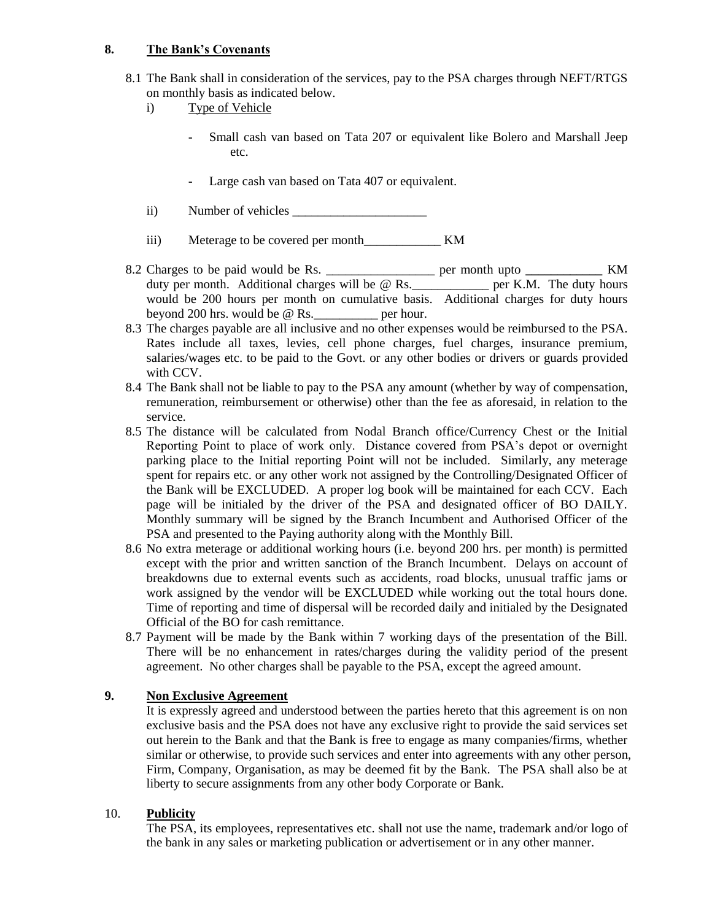#### **8. The Bank's Covenants**

- 8.1 The Bank shall in consideration of the services, pay to the PSA charges through NEFT/RTGS on monthly basis as indicated below.
	- i) Type of Vehicle
		- Small cash van based on Tata 207 or equivalent like Bolero and Marshall Jeep etc.
		- Large cash van based on Tata 407 or equivalent.
	- ii) Number of vehicles
	- iii) Meterage to be covered per month\_\_\_\_\_\_\_\_\_\_\_\_ KM
- 8.2 Charges to be paid would be Rs. \_\_\_\_\_\_\_\_\_\_\_\_\_\_\_\_\_ per month upto **\_\_\_\_\_\_\_\_\_\_\_\_** KM duty per month. Additional charges will be @ Rs. per K.M. The duty hours would be 200 hours per month on cumulative basis. Additional charges for duty hours beyond 200 hrs. would be @ Rs.\_\_\_\_\_\_\_\_\_\_ per hour.
- 8.3 The charges payable are all inclusive and no other expenses would be reimbursed to the PSA. Rates include all taxes, levies, cell phone charges, fuel charges, insurance premium, salaries/wages etc. to be paid to the Govt. or any other bodies or drivers or guards provided with CCV.
- 8.4 The Bank shall not be liable to pay to the PSA any amount (whether by way of compensation, remuneration, reimbursement or otherwise) other than the fee as aforesaid, in relation to the service.
- 8.5 The distance will be calculated from Nodal Branch office/Currency Chest or the Initial Reporting Point to place of work only. Distance covered from PSA's depot or overnight parking place to the Initial reporting Point will not be included. Similarly, any meterage spent for repairs etc. or any other work not assigned by the Controlling/Designated Officer of the Bank will be EXCLUDED. A proper log book will be maintained for each CCV. Each page will be initialed by the driver of the PSA and designated officer of BO DAILY. Monthly summary will be signed by the Branch Incumbent and Authorised Officer of the PSA and presented to the Paying authority along with the Monthly Bill.
- 8.6 No extra meterage or additional working hours (i.e. beyond 200 hrs. per month) is permitted except with the prior and written sanction of the Branch Incumbent. Delays on account of breakdowns due to external events such as accidents, road blocks, unusual traffic jams or work assigned by the vendor will be EXCLUDED while working out the total hours done. Time of reporting and time of dispersal will be recorded daily and initialed by the Designated Official of the BO for cash remittance.
- 8.7 Payment will be made by the Bank within 7 working days of the presentation of the Bill. There will be no enhancement in rates/charges during the validity period of the present agreement. No other charges shall be payable to the PSA, except the agreed amount.

#### **9. Non Exclusive Agreement**

It is expressly agreed and understood between the parties hereto that this agreement is on non exclusive basis and the PSA does not have any exclusive right to provide the said services set out herein to the Bank and that the Bank is free to engage as many companies/firms, whether similar or otherwise, to provide such services and enter into agreements with any other person, Firm, Company, Organisation, as may be deemed fit by the Bank. The PSA shall also be at liberty to secure assignments from any other body Corporate or Bank.

#### 10. **Publicity**

The PSA, its employees, representatives etc. shall not use the name, trademark and/or logo of the bank in any sales or marketing publication or advertisement or in any other manner.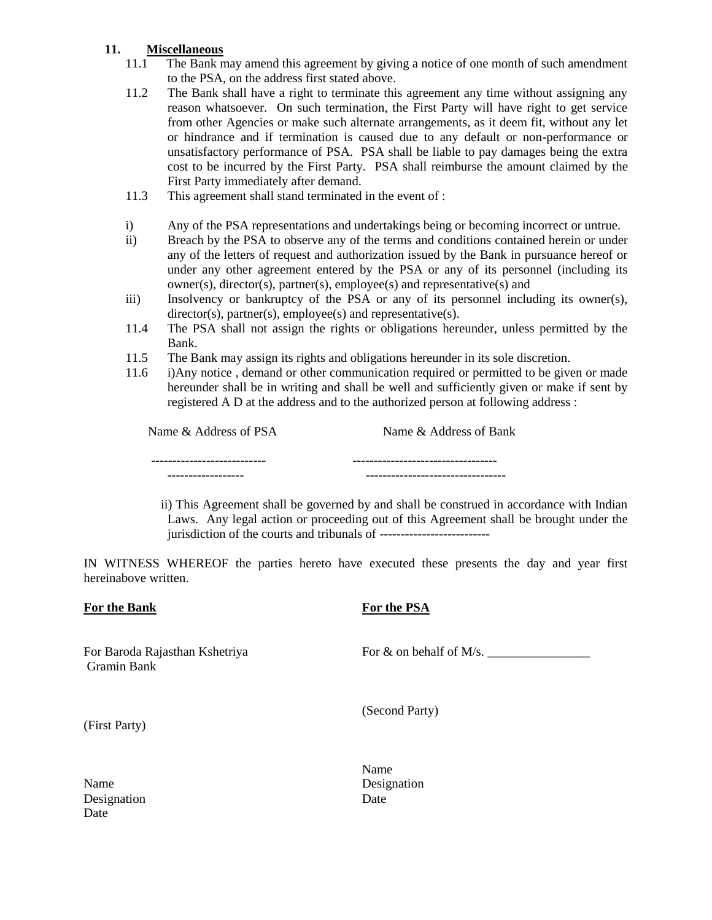#### **11. Miscellaneous**

- 11.1 The Bank may amend this agreement by giving a notice of one month of such amendment to the PSA, on the address first stated above.
- 11.2 The Bank shall have a right to terminate this agreement any time without assigning any reason whatsoever. On such termination, the First Party will have right to get service from other Agencies or make such alternate arrangements, as it deem fit, without any let or hindrance and if termination is caused due to any default or non-performance or unsatisfactory performance of PSA. PSA shall be liable to pay damages being the extra cost to be incurred by the First Party. PSA shall reimburse the amount claimed by the First Party immediately after demand.
- 11.3 This agreement shall stand terminated in the event of :
- i) Any of the PSA representations and undertakings being or becoming incorrect or untrue.
- ii) Breach by the PSA to observe any of the terms and conditions contained herein or under any of the letters of request and authorization issued by the Bank in pursuance hereof or under any other agreement entered by the PSA or any of its personnel (including its owner(s), director(s), partner(s), employee(s) and representative(s) and
- iii) Insolvency or bankruptcy of the PSA or any of its personnel including its owner(s), director(s), partner(s), employee(s) and representative(s).
- 11.4 The PSA shall not assign the rights or obligations hereunder, unless permitted by the Bank.
- 11.5 The Bank may assign its rights and obligations hereunder in its sole discretion.
- 11.6 i)Any notice , demand or other communication required or permitted to be given or made hereunder shall be in writing and shall be well and sufficiently given or make if sent by registered A D at the address and to the authorized person at following address :

Name & Address of PSA Name & Address of Bank

 --------------------------- ---------------------------------- ------------------ ---------------------------------

 ii) This Agreement shall be governed by and shall be construed in accordance with Indian Laws. Any legal action or proceeding out of this Agreement shall be brought under the jurisdiction of the courts and tribunals of --------------------------

IN WITNESS WHEREOF the parties hereto have executed these presents the day and year first hereinabove written.

#### **For the Bank**

#### **For the PSA**

For Baroda Rajasthan Kshetriya Gramin Bank

For  $\&$  on behalf of M/s.  $\_\_\_\_\_\_\_\_\_\_\_\_\_\_\_\_$ 

(Second Party)

(First Party)

Name Designation Date

Name Designation Date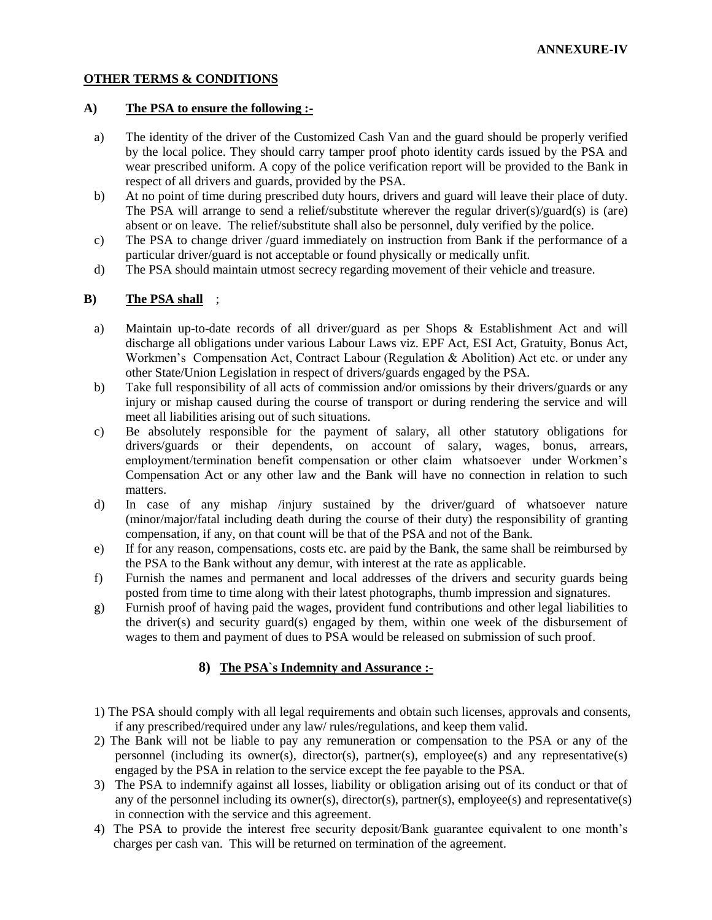#### **OTHER TERMS & CONDITIONS**

#### **A) The PSA to ensure the following :-**

- a) The identity of the driver of the Customized Cash Van and the guard should be properly verified by the local police. They should carry tamper proof photo identity cards issued by the PSA and wear prescribed uniform. A copy of the police verification report will be provided to the Bank in respect of all drivers and guards, provided by the PSA.
- b) At no point of time during prescribed duty hours, drivers and guard will leave their place of duty. The PSA will arrange to send a relief/substitute wherever the regular driver(s)/guard(s) is (are) absent or on leave. The relief/substitute shall also be personnel, duly verified by the police.
- c) The PSA to change driver /guard immediately on instruction from Bank if the performance of a particular driver/guard is not acceptable or found physically or medically unfit.
- d) The PSA should maintain utmost secrecy regarding movement of their vehicle and treasure.

#### **B) The PSA shall** ;

- a) Maintain up-to-date records of all driver/guard as per Shops & Establishment Act and will discharge all obligations under various Labour Laws viz. EPF Act, ESI Act, Gratuity, Bonus Act, Workmen's Compensation Act, Contract Labour (Regulation & Abolition) Act etc. or under any other State/Union Legislation in respect of drivers/guards engaged by the PSA.
- b) Take full responsibility of all acts of commission and/or omissions by their drivers/guards or any injury or mishap caused during the course of transport or during rendering the service and will meet all liabilities arising out of such situations.
- c) Be absolutely responsible for the payment of salary, all other statutory obligations for drivers/guards or their dependents, on account of salary, wages, bonus, arrears, employment/termination benefit compensation or other claim whatsoever under Workmen's Compensation Act or any other law and the Bank will have no connection in relation to such matters.
- d) In case of any mishap /injury sustained by the driver/guard of whatsoever nature (minor/major/fatal including death during the course of their duty) the responsibility of granting compensation, if any, on that count will be that of the PSA and not of the Bank.
- e) If for any reason, compensations, costs etc. are paid by the Bank, the same shall be reimbursed by the PSA to the Bank without any demur, with interest at the rate as applicable.
- f) Furnish the names and permanent and local addresses of the drivers and security guards being posted from time to time along with their latest photographs, thumb impression and signatures.
- g) Furnish proof of having paid the wages, provident fund contributions and other legal liabilities to the driver(s) and security guard(s) engaged by them, within one week of the disbursement of wages to them and payment of dues to PSA would be released on submission of such proof.

#### **8) The PSA`s Indemnity and Assurance :-**

- 1) The PSA should comply with all legal requirements and obtain such licenses, approvals and consents, if any prescribed/required under any law/ rules/regulations, and keep them valid.
- 2) The Bank will not be liable to pay any remuneration or compensation to the PSA or any of the personnel (including its owner(s), director(s), partner(s), employee(s) and any representative(s) engaged by the PSA in relation to the service except the fee payable to the PSA.
- 3) The PSA to indemnify against all losses, liability or obligation arising out of its conduct or that of any of the personnel including its owner(s), director(s), partner(s), employee(s) and representative(s) in connection with the service and this agreement.
- 4) The PSA to provide the interest free security deposit/Bank guarantee equivalent to one month's charges per cash van. This will be returned on termination of the agreement.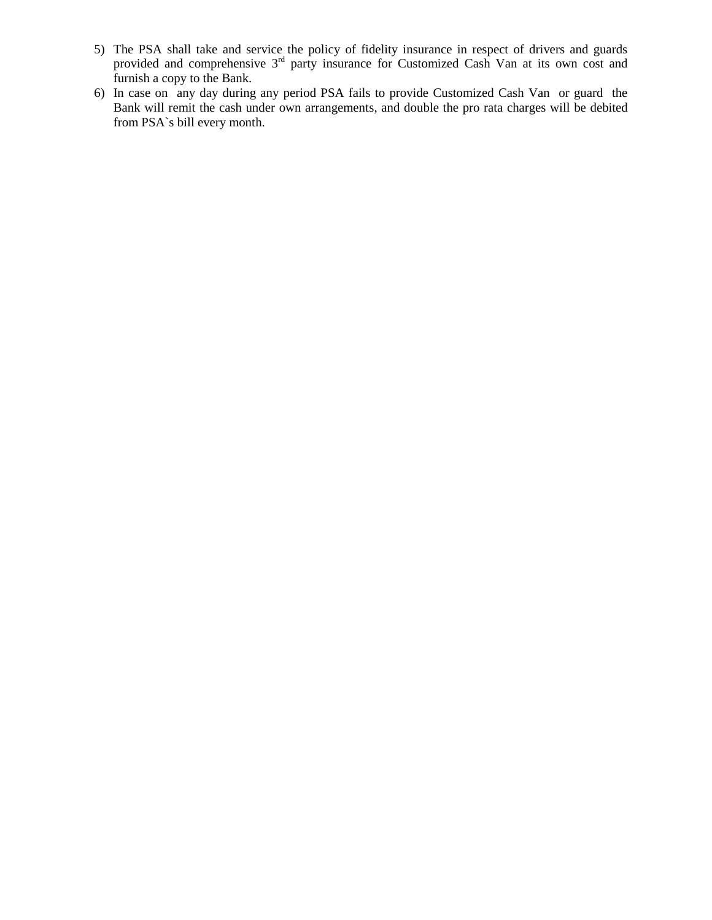- 5) The PSA shall take and service the policy of fidelity insurance in respect of drivers and guards provided and comprehensive 3<sup>rd</sup> party insurance for Customized Cash Van at its own cost and furnish a copy to the Bank.
- 6) In case on any day during any period PSA fails to provide Customized Cash Van or guard the Bank will remit the cash under own arrangements, and double the pro rata charges will be debited from PSA`s bill every month.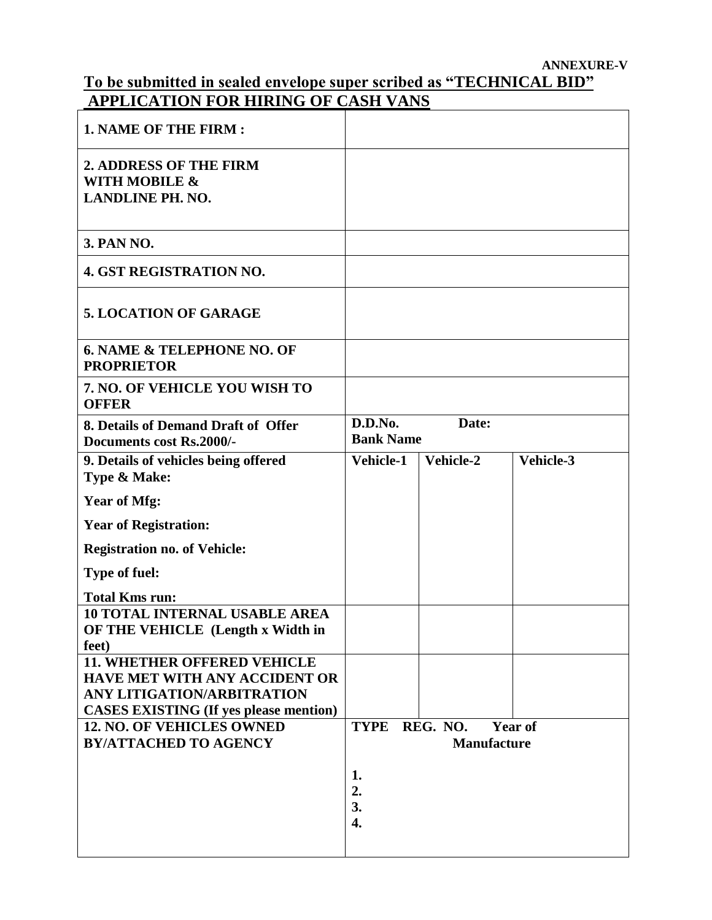### **To be submitted in sealed envelope super scribed as "TECHNICAL BID" APPLICATION FOR HIRING OF CASH VANS**

| <b>1. NAME OF THE FIRM:</b>                                                        |                                      |           |           |
|------------------------------------------------------------------------------------|--------------------------------------|-----------|-----------|
| 2. ADDRESS OF THE FIRM<br><b>WITH MOBILE &amp;</b><br><b>LANDLINE PH. NO.</b>      |                                      |           |           |
| 3. PAN NO.                                                                         |                                      |           |           |
| <b>4. GST REGISTRATION NO.</b>                                                     |                                      |           |           |
| <b>5. LOCATION OF GARAGE</b>                                                       |                                      |           |           |
| <b>6. NAME &amp; TELEPHONE NO. OF</b><br><b>PROPRIETOR</b>                         |                                      |           |           |
| 7. NO. OF VEHICLE YOU WISH TO<br><b>OFFER</b>                                      |                                      |           |           |
| 8. Details of Demand Draft of Offer<br>Documents cost Rs.2000/-                    | D.D.No.<br>Date:<br><b>Bank Name</b> |           |           |
| 9. Details of vehicles being offered<br>Type & Make:                               | Vehicle-1                            | Vehicle-2 | Vehicle-3 |
| <b>Year of Mfg:</b>                                                                |                                      |           |           |
| <b>Year of Registration:</b>                                                       |                                      |           |           |
| <b>Registration no. of Vehicle:</b>                                                |                                      |           |           |
| <b>Type of fuel:</b>                                                               |                                      |           |           |
| <b>Total Kms run:</b>                                                              |                                      |           |           |
| <b>10 TOTAL INTERNAL USABLE AREA</b><br>OF THE VEHICLE (Length x Width in<br>feet) |                                      |           |           |
| <b>11. WHETHER OFFERED VEHICLE</b>                                                 |                                      |           |           |
| <b>HAVE MET WITH ANY ACCIDENT OR</b>                                               |                                      |           |           |
| ANY LITIGATION/ARBITRATION                                                         |                                      |           |           |
| <b>CASES EXISTING (If yes please mention)</b><br><b>12. NO. OF VEHICLES OWNED</b>  | <b>TYPE</b>                          | REG. NO.  |           |
| <b>BY/ATTACHED TO AGENCY</b>                                                       | <b>Year of</b><br><b>Manufacture</b> |           |           |
|                                                                                    | 1.<br>2.<br>3.<br>4.                 |           |           |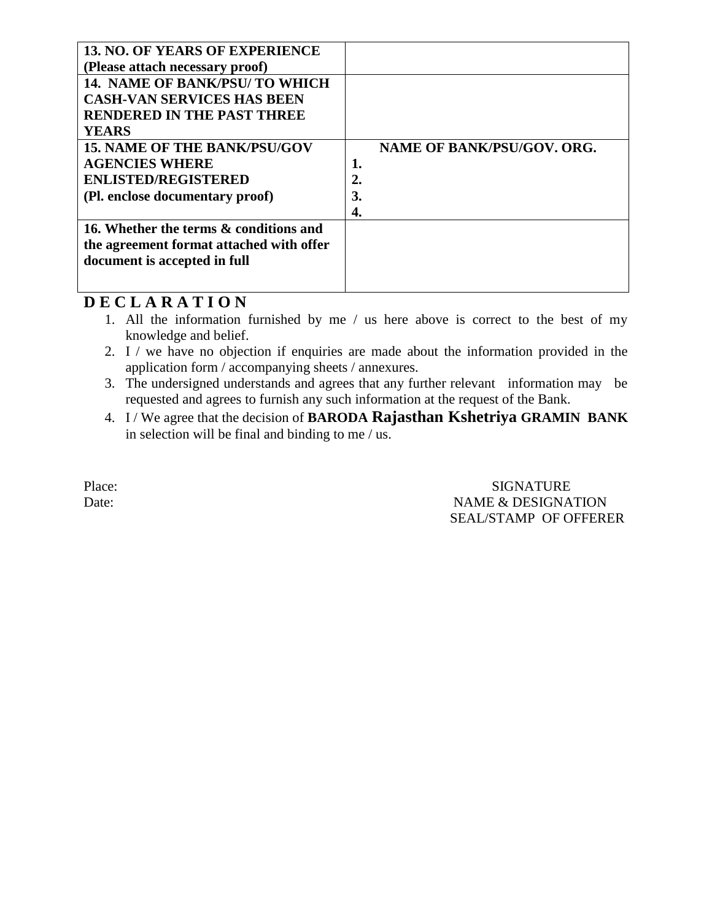| <b>13. NO. OF YEARS OF EXPERIENCE</b>    |                                   |
|------------------------------------------|-----------------------------------|
| (Please attach necessary proof)          |                                   |
| <b>14. NAME OF BANK/PSU/ TO WHICH</b>    |                                   |
| <b>CASH-VAN SERVICES HAS BEEN</b>        |                                   |
| <b>RENDERED IN THE PAST THREE</b>        |                                   |
| <b>YEARS</b>                             |                                   |
| <b>15. NAME OF THE BANK/PSU/GOV</b>      | <b>NAME OF BANK/PSU/GOV. ORG.</b> |
| <b>AGENCIES WHERE</b>                    |                                   |
| <b>ENLISTED/REGISTERED</b>               | 2.                                |
| (Pl. enclose documentary proof)          | 3.                                |
|                                          | 4.                                |
| 16. Whether the terms & conditions and   |                                   |
| the agreement format attached with offer |                                   |
| document is accepted in full             |                                   |
|                                          |                                   |
|                                          |                                   |

## **D E C L A R A T I O N**

- 1. All the information furnished by me / us here above is correct to the best of my knowledge and belief.
- 2. I / we have no objection if enquiries are made about the information provided in the application form / accompanying sheets / annexures.
- 3. The undersigned understands and agrees that any further relevant information may be requested and agrees to furnish any such information at the request of the Bank.
- 4. I / We agree that the decision of **BARODA Rajasthan Kshetriya GRAMIN BANK** in selection will be final and binding to me / us.

Place: SIGNATURE Date: NAME & DESIGNATION SEAL/STAMP OF OFFERER